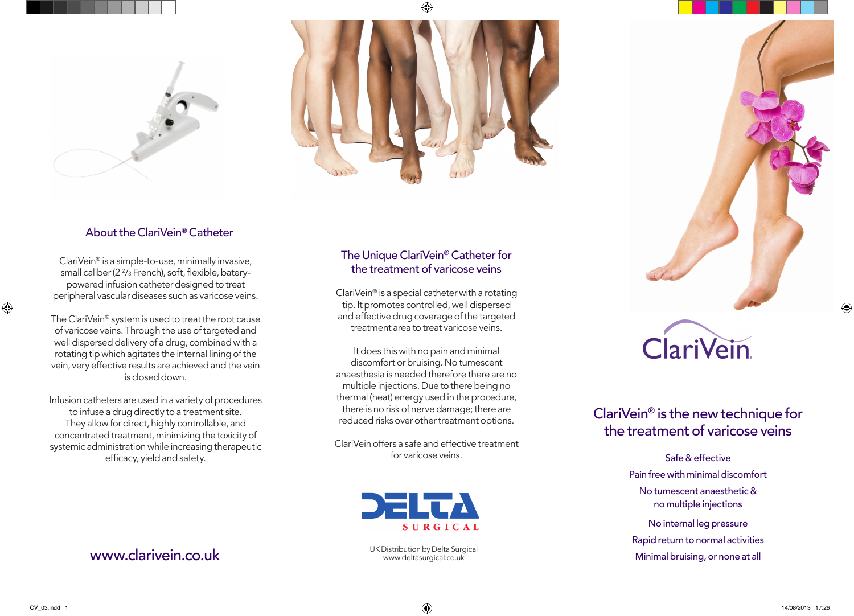



### About the ClariVein® Catheter

ClariVein® is a simple-to-use, minimally invasive, small caliber ( $2\frac{2}{3}$  French), soft, flexible, baterypowered infusion catheter designed to treat peripheral vascular diseases such as varicose veins.

The ClariVein® system is used to treat the root cause of varicose veins. Through the use of targeted and well dispersed delivery of a drug, combined with a rotating tip which agitates the internal lining of the vein, very effective results are achieved and the vein is closed down.

Infusion catheters are used in a variety of procedures to infuse a drug directly to a treatment site. They allow for direct, highly controllable, and concentrated treatment, minimizing the toxicity of systemic administration while increasing therapeutic efficacy, yield and safety.

## The Unique ClariVein® Catheter for the treatment of varicose veins

ClariVein® is a special catheter with a rotating tip. It promotes controlled, well dispersed and effective drug coverage of the targeted treatment area to treat varicose veins.

It does this with no pain and minimal discomfort or bruising. No tumescent anaesthesia is needed therefore there are no multiple injections. Due to there being no thermal (heat) energy used in the procedure, there is no risk of nerve damage; there are reduced risks over other treatment options.

ClariVein offers a safe and effective treatment for varicose veins.



# ClariVein.

## ClariVein® is the new technique for the treatment of varicose veins

Safe & effective Pain free with minimal discomfort No tumescent anaesthetic & no multiple injections

No internal leg pressure Rapid return to normal activities Minimal bruising, or none at all

 $\bigoplus$